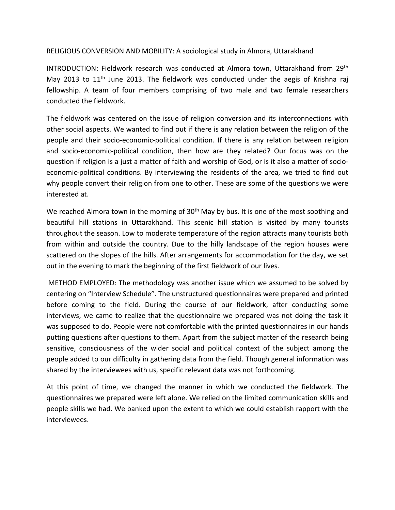RELIGIOUS CONVERSION AND MOBILITY: A sociological study in Almora, Uttarakhand

INTRODUCTION: Fieldwork research was conducted at Almora town, Uttarakhand from 29<sup>th</sup> May 2013 to 11<sup>th</sup> June 2013. The fieldwork was conducted under the aegis of Krishna raj fellowship. A team of four members comprising of two male and two female researchers conducted the fieldwork.

The fieldwork was centered on the issue of religion conversion and its interconnections with other social aspects. We wanted to find out if there is any relation between the religion of the people and their socio-economic-political condition. If there is any relation between religion and socio-economic-political condition, then how are they related? Our focus was on the question if religion is a just a matter of faith and worship of God, or is it also a matter of socioeconomic-political conditions. By interviewing the residents of the area, we tried to find out why people convert their religion from one to other. These are some of the questions we were interested at.

We reached Almora town in the morning of 30<sup>th</sup> May by bus. It is one of the most soothing and beautiful hill stations in Uttarakhand. This scenic hill station is visited by many tourists throughout the season. Low to moderate temperature of the region attracts many tourists both from within and outside the country. Due to the hilly landscape of the region houses were scattered on the slopes of the hills. After arrangements for accommodation for the day, we set out in the evening to mark the beginning of the first fieldwork of our lives.

METHOD EMPLOYED: The methodology was another issue which we assumed to be solved by centering on "Interview Schedule". The unstructured questionnaires were prepared and printed before coming to the field. During the course of our fieldwork, after conducting some interviews, we came to realize that the questionnaire we prepared was not doing the task it was supposed to do. People were not comfortable with the printed questionnaires in our hands putting questions after questions to them. Apart from the subject matter of the research being sensitive, consciousness of the wider social and political context of the subject among the people added to our difficulty in gathering data from the field. Though general information was shared by the interviewees with us, specific relevant data was not forthcoming.

At this point of time, we changed the manner in which we conducted the fieldwork. The questionnaires we prepared were left alone. We relied on the limited communication skills and people skills we had. We banked upon the extent to which we could establish rapport with the interviewees.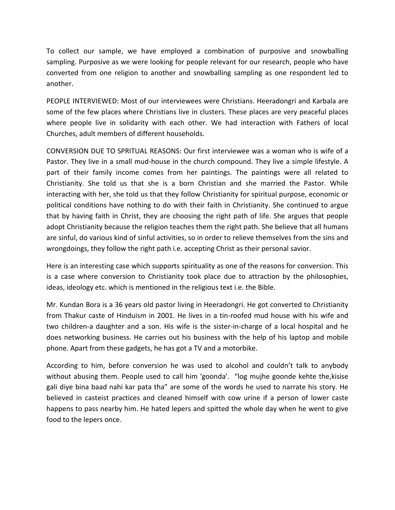To collect our sample, we have employed a combination of purposive and snowballing sampling. Purposive as we were looking for people relevant for our research, people who have converted from one religion to another and snowballing sampling as one respondent led to another.

PEOPLE INTERVIEWED: Most of our interviewees were Christians. Heeradongri and Karbala are some of the few places where Christians live in clusters. These places are very peaceful places where people live in solidarity with each other. We had interaction with Fathers of local Churches, adult members of different households.

CONVERSION DUE TO SPRITUAL REASONS: Our first interviewee was a woman who is wife of a Pastor. They live in a small mud-house in the church compound. They live a simple lifestyle. A part of their family income comes from her paintings. The paintings were all related to Christianity. She told us that she is a born Christian and she married the Pastor. While interacting with her, she told us that they follow Christianity for spiritual purpose, economic or political conditions have nothing to do with their faith in Christianity. She continued to argue that by having faith in Christ, they are choosing the right path of life. She argues that people adopt Christianity because the religion teaches them the right path. She believe that all humans are sinful, do various kind of sinful activities, so in order to relieve themselves from the sins and wrongdoings, they follow the right path i.e. accepting Christ as their personal savior.

Here is an interesting case which supports spirituality as one of the reasons for conversion. This is a case where conversion to Christianity took place due to attraction by the philosophies, ideas, ideology etc. which is mentioned in the religious text i.e. the Bible.

Mr. Kundan Bora is a 36 years old pastor living in Heeradongri. He got converted to Christianity from Thakur caste of Hinduism in 2001. He lives in a tin-roofed mud house with his wife and two children-a daughter and a son. His wife is the sister-in-charge of a local hospital and he does networking business. He carries out his business with the help of his laptop and mobile phone. Apart from these gadgets, he has got a TV and a motorbike.

According to him, before conversion he was used to alcohol and couldn't talk to anybody without abusing them. People used to call him 'goonda'. "log mujhe goonde kehte the, kisise gali diye bina baad nahi kar pata tha" are some of the words he used to narrate his story. He believed in casteist practices and cleaned himself with cow urine if a person of lower caste happens to pass nearby him. He hated lepers and spitted the whole day when he went to give food to the lepers once.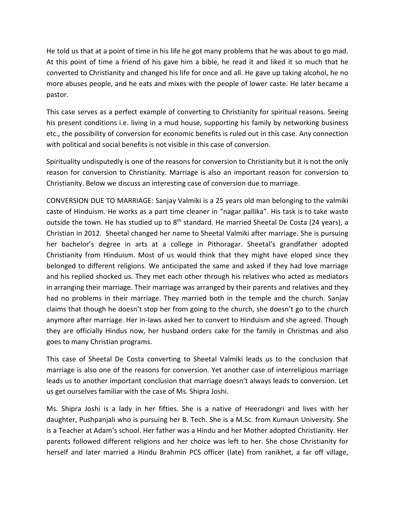He told us that at a point of time in his life he got many problems that he was about to go mad. At this point of time a friend of his gave him a bible, he read it and liked it so much that he converted to Christianity and changed his life for once and all. He gave up taking alcohol, he no more abuses people, and he eats and mixes with the people of lower caste. He later became a pastor.

This case serves as a perfect example of converting to Christianity for spiritual reasons. Seeing his present conditions i.e. living in a mud house, supporting his family by networking business etc., the possibility of conversion for economic benefits is ruled out in this case. Any connection with political and social benefits is not visible in this case of conversion.

Spirituality undisputedly is one of the reasons for conversion to Christianity but it is not the only reason for conversion to Christianity. Marriage is also an important reason for conversion to Christianity. Below we discuss an interesting case of conversion due to marriage.

CONVERSION DUE TO MARRIAGE: Sanjay Valmiki is a 25 years old man belonging to the valmiki caste of Hinduism. He works as a part time cleaner in "nagar pallika". His task is to take waste outside the town. He has studied up to 8<sup>th</sup> standard. He married Sheetal De Costa (24 years), a Christian in 2012. Sheetal changed her name to Sheetal Valmiki after marriage. She is pursuing her bachelor's degree in arts at a college in Pithoragar. Sheetal's grandfather adopted Christianity from Hinduism. Most of us would think that they might have eloped since they belonged to different religions. We anticipated the same and asked if they had love marriage and his replied shocked us. They met each other through his relatives who acted as mediators in arranging their marriage. Their marriage was arranged by their parents and relatives and they had no problems in their marriage. They married both in the temple and the church. Sanjay claims that though he doesn't stop her from going to the church, she doesn't go to the church anymore after marriage. Her in-laws asked her to convert to Hinduism and she agreed. Though they are officially Hindus now, her husband orders cake for the family in Christmas and also goes to many Christian programs.

This case of Sheetal De Costa converting to Sheetal Valmiki leads us to the conclusion that marriage is also one of the reasons for conversion. Yet another case of interreligious marriage leads us to another important conclusion that marriage doesn't always leads to conversion. Let us get ourselves familiar with the case of Ms. Shipra Joshi.

Ms. Shipra Joshi is a lady in her fifties. She is a native of Heeradongri and lives with her daughter, Pushpanjali who is pursuing her B. Tech. She is a M.Sc. from Kumaun University. She is a Teacher at Adam's school. Her father was a Hindu and her Mother adopted Christianity. Her parents followed different religions and her choice was left to her. She chose Christianity for herself and later married a Hindu Brahmin PCS officer (late) from ranikhet, a far off village,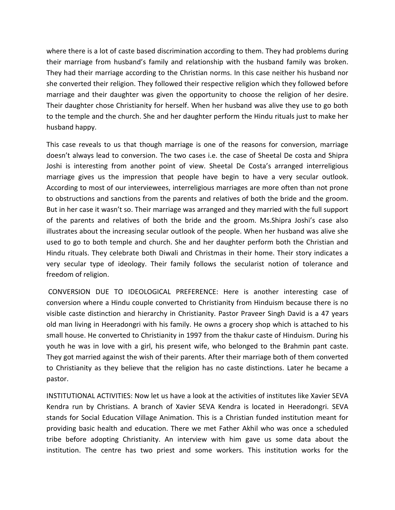where there is a lot of caste based discrimination according to them. They had problems during their marriage from husband's family and relationship with the husband family was broken. They had their marriage according to the Christian norms. In this case neither his husband nor she converted their religion. They followed their respective religion which they followed before marriage and their daughter was given the opportunity to choose the religion of her desire. Their daughter chose Christianity for herself. When her husband was alive they use to go both to the temple and the church. She and her daughter perform the Hindu rituals just to make her husband happy.

This case reveals to us that though marriage is one of the reasons for conversion, marriage doesn't always lead to conversion. The two cases i.e. the case of Sheetal De costa and Shipra Joshi is interesting from another point of view. Sheetal De Costa's arranged interreligious marriage gives us the impression that people have begin to have a very secular outlook. According to most of our interviewees, interreligious marriages are more often than not prone to obstructions and sanctions from the parents and relatives of both the bride and the groom. But in her case it wasn't so. Their marriage was arranged and they married with the full support of the parents and relatives of both the bride and the groom. Ms.Shipra Joshi's case also illustrates about the increasing secular outlook of the people. When her husband was alive she used to go to both temple and church. She and her daughter perform both the Christian and Hindu rituals. They celebrate both Diwali and Christmas in their home. Their story indicates a very secular type of ideology. Their family follows the secularist notion of tolerance and freedom of religion.

CONVERSION DUE TO IDEOLOGICAL PREFERENCE: Here is another interesting case of conversion where a Hindu couple converted to Christianity from Hinduism because there is no visible caste distinction and hierarchy in Christianity. Pastor Praveer Singh David is a 47 years old man living in Heeradongri with his family. He owns a grocery shop which is attached to his small house. He converted to Christianity in 1997 from the thakur caste of Hinduism. During his youth he was in love with a girl, his present wife, who belonged to the Brahmin pant caste. They got married against the wish of their parents. After their marriage both of them converted to Christianity as they believe that the religion has no caste distinctions. Later he became a pastor.

INSTITUTIONAL ACTIVITIES: Now let us have a look at the activities of institutes like Xavier SEVA Kendra run by Christians. A branch of Xavier SEVA Kendra is located in Heeradongri. SEVA stands for Social Education Village Animation. This is a Christian funded institution meant for providing basic health and education. There we met Father Akhil who was once a scheduled tribe before adopting Christianity. An interview with him gave us some data about the institution. The centre has two priest and some workers. This institution works for the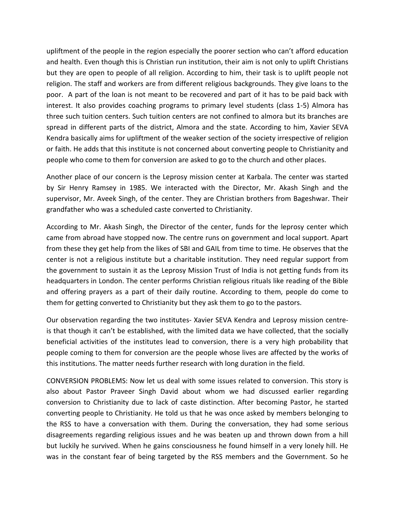upliftment of the people in the region especially the poorer section who can't afford education and health. Even though this is Christian run institution, their aim is not only to uplift Christians but they are open to people of all religion. According to him, their task is to uplift people not religion. The staff and workers are from different religious backgrounds. They give loans to the poor. A part of the loan is not meant to be recovered and part of it has to be paid back with interest. It also provides coaching programs to primary level students (class 1-5) Almora has three such tuition centers. Such tuition centers are not confined to almora but its branches are spread in different parts of the district, Almora and the state. According to him, Xavier SEVA Kendra basically aims for upliftment of the weaker section of the society irrespective of religion or faith. He adds that this institute is not concerned about converting people to Christianity and people who come to them for conversion are asked to go to the church and other places.

Another place of our concern is the Leprosy mission center at Karbala. The center was started by Sir Henry Ramsey in 1985. We interacted with the Director, Mr. Akash Singh and the supervisor, Mr. Aveek Singh, of the center. They are Christian brothers from Bageshwar. Their grandfather who was a scheduled caste converted to Christianity.

According to Mr. Akash Singh, the Director of the center, funds for the leprosy center which came from abroad have stopped now. The centre runs on government and local support. Apart from these they get help from the likes of SBI and GAIL from time to time. He observes that the center is not a religious institute but a charitable institution. They need regular support from the government to sustain it as the Leprosy Mission Trust of India is not getting funds from its headquarters in London. The center performs Christian religious rituals like reading of the Bible and offering prayers as a part of their daily routine. According to them, people do come to them for getting converted to Christianity but they ask them to go to the pastors.

Our observation regarding the two institutes- Xavier SEVA Kendra and Leprosy mission centreis that though it can't be established, with the limited data we have collected, that the socially beneficial activities of the institutes lead to conversion, there is a very high probability that people coming to them for conversion are the people whose lives are affected by the works of this institutions. The matter needs further research with long duration in the field.

CONVERSION PROBLEMS: Now let us deal with some issues related to conversion. This story is also about Pastor Praveer Singh David about whom we had discussed earlier regarding conversion to Christianity due to lack of caste distinction. After becoming Pastor, he started converting people to Christianity. He told us that he was once asked by members belonging to the RSS to have a conversation with them. During the conversation, they had some serious disagreements regarding religious issues and he was beaten up and thrown down from a hill but luckily he survived. When he gains consciousness he found himself in a very lonely hill. He was in the constant fear of being targeted by the RSS members and the Government. So he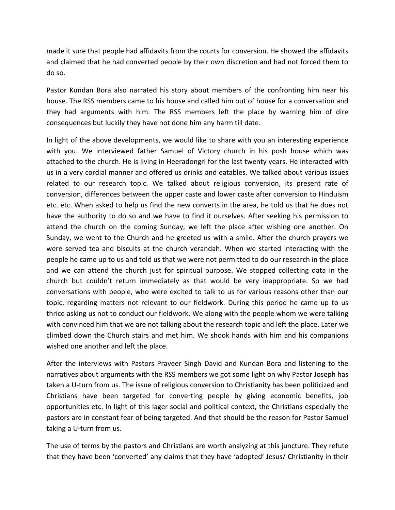made it sure that people had affidavits from the courts for conversion. He showed the affidavits and claimed that he had converted people by their own discretion and had not forced them to do so.

Pastor Kundan Bora also narrated his story about members of the confronting him near his house. The RSS members came to his house and called him out of house for a conversation and they had arguments with him. The RSS members left the place by warning him of dire consequences but luckily they have not done him any harm till date.

In light of the above developments, we would like to share with you an interesting experience with you. We interviewed father Samuel of Victory church in his posh house which was attached to the church. He is living in Heeradongri for the last twenty years. He interacted with us in a very cordial manner and offered us drinks and eatables. We talked about various issues related to our research topic. We talked about religious conversion, its present rate of conversion, differences between the upper caste and lower caste after conversion to Hinduism etc. etc. When asked to help us find the new converts in the area, he told us that he does not have the authority to do so and we have to find it ourselves. After seeking his permission to attend the church on the coming Sunday, we left the place after wishing one another. On Sunday, we went to the Church and he greeted us with a smile. After the church prayers we were served tea and biscuits at the church verandah. When we started interacting with the people he came up to us and told us that we were not permitted to do our research in the place and we can attend the church just for spiritual purpose. We stopped collecting data in the church but couldn't return immediately as that would be very inappropriate. So we had conversations with people, who were excited to talk to us for various reasons other than our topic, regarding matters not relevant to our fieldwork. During this period he came up to us thrice asking us not to conduct our fieldwork. We along with the people whom we were talking with convinced him that we are not talking about the research topic and left the place. Later we climbed down the Church stairs and met him. We shook hands with him and his companions wished one another and left the place.

After the interviews with Pastors Praveer Singh David and Kundan Bora and listening to the narratives about arguments with the RSS members we got some light on why Pastor Joseph has taken a U-turn from us. The issue of religious conversion to Christianity has been politicized and Christians have been targeted for converting people by giving economic benefits, job opportunities etc. In light of this lager social and political context, the Christians especially the pastors are in constant fear of being targeted. And that should be the reason for Pastor Samuel taking a U-turn from us.

The use of terms by the pastors and Christians are worth analyzing at this juncture. They refute that they have been 'converted' any claims that they have 'adopted' Jesus/ Christianity in their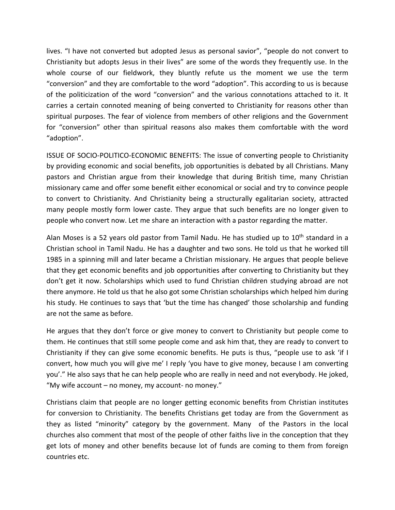lives. "I have not converted but adopted Jesus as personal savior", "people do not convert to Christianity but adopts Jesus in their lives" are some of the words they frequently use. In the whole course of our fieldwork, they bluntly refute us the moment we use the term "conversion" and they are comfortable to the word "adoption". This according to us is because of the politicization of the word "conversion" and the various connotations attached to it. It carries a certain connoted meaning of being converted to Christianity for reasons other than spiritual purposes. The fear of violence from members of other religions and the Government for "conversion" other than spiritual reasons also makes them comfortable with the word "adoption".

ISSUE OF SOCIO-POLITICO-ECONOMIC BENEFITS: The issue of converting people to Christianity by providing economic and social benefits, job opportunities is debated by all Christians. Many pastors and Christian argue from their knowledge that during British time, many Christian missionary came and offer some benefit either economical or social and try to convince people to convert to Christianity. And Christianity being a structurally egalitarian society, attracted many people mostly form lower caste. They argue that such benefits are no longer given to people who convert now. Let me share an interaction with a pastor regarding the matter.

Alan Moses is a 52 years old pastor from Tamil Nadu. He has studied up to  $10<sup>th</sup>$  standard in a Christian school in Tamil Nadu. He has a daughter and two sons. He told us that he worked till 1985 in a spinning mill and later became a Christian missionary. He argues that people believe that they get economic benefits and job opportunities after converting to Christianity but they don't get it now. Scholarships which used to fund Christian children studying abroad are not there anymore. He told us that he also got some Christian scholarships which helped him during his study. He continues to says that 'but the time has changed' those scholarship and funding are not the same as before.

He argues that they don't force or give money to convert to Christianity but people come to them. He continues that still some people come and ask him that, they are ready to convert to Christianity if they can give some economic benefits. He puts is thus, "people use to ask 'if I convert, how much you will give me' I reply 'you have to give money, because I am converting you'." He also says that he can help people who are really in need and not everybody. He joked, "My wife account – no money, my account- no money."

Christians claim that people are no longer getting economic benefits from Christian institutes for conversion to Christianity. The benefits Christians get today are from the Government as they as listed "minority" category by the government. Many of the Pastors in the local churches also comment that most of the people of other faiths live in the conception that they get lots of money and other benefits because lot of funds are coming to them from foreign countries etc.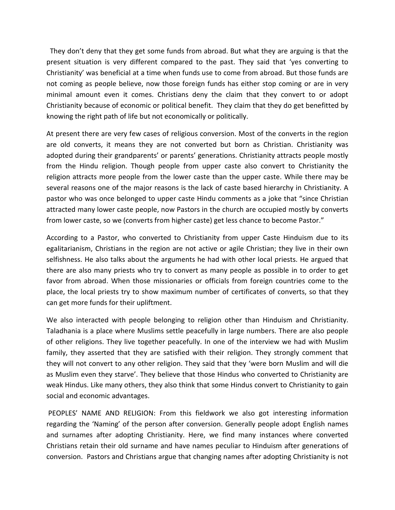They don't deny that they get some funds from abroad. But what they are arguing is that the present situation is very different compared to the past. They said that 'yes converting to Christianity' was beneficial at a time when funds use to come from abroad. But those funds are not coming as people believe, now those foreign funds has either stop coming or are in very minimal amount even it comes. Christians deny the claim that they convert to or adopt Christianity because of economic or political benefit. They claim that they do get benefitted by knowing the right path of life but not economically or politically.

At present there are very few cases of religious conversion. Most of the converts in the region are old converts, it means they are not converted but born as Christian. Christianity was adopted during their grandparents' or parents' generations. Christianity attracts people mostly from the Hindu religion. Though people from upper caste also convert to Christianity the religion attracts more people from the lower caste than the upper caste. While there may be several reasons one of the major reasons is the lack of caste based hierarchy in Christianity. A pastor who was once belonged to upper caste Hindu comments as a joke that "since Christian attracted many lower caste people, now Pastors in the church are occupied mostly by converts from lower caste, so we (converts from higher caste) get less chance to become Pastor."

According to a Pastor, who converted to Christianity from upper Caste Hinduism due to its egalitarianism, Christians in the region are not active or agile Christian; they live in their own selfishness. He also talks about the arguments he had with other local priests. He argued that there are also many priests who try to convert as many people as possible in to order to get favor from abroad. When those missionaries or officials from foreign countries come to the place, the local priests try to show maximum number of certificates of converts, so that they can get more funds for their upliftment.

We also interacted with people belonging to religion other than Hinduism and Christianity. Taladhania is a place where Muslims settle peacefully in large numbers. There are also people of other religions. They live together peacefully. In one of the interview we had with Muslim family, they asserted that they are satisfied with their religion. They strongly comment that they will not convert to any other religion. They said that they 'were born Muslim and will die as Muslim even they starve'. They believe that those Hindus who converted to Christianity are weak Hindus. Like many others, they also think that some Hindus convert to Christianity to gain social and economic advantages.

PEOPLES' NAME AND RELIGION: From this fieldwork we also got interesting information regarding the 'Naming' of the person after conversion. Generally people adopt English names and surnames after adopting Christianity. Here, we find many instances where converted Christians retain their old surname and have names peculiar to Hinduism after generations of conversion. Pastors and Christians argue that changing names after adopting Christianity is not